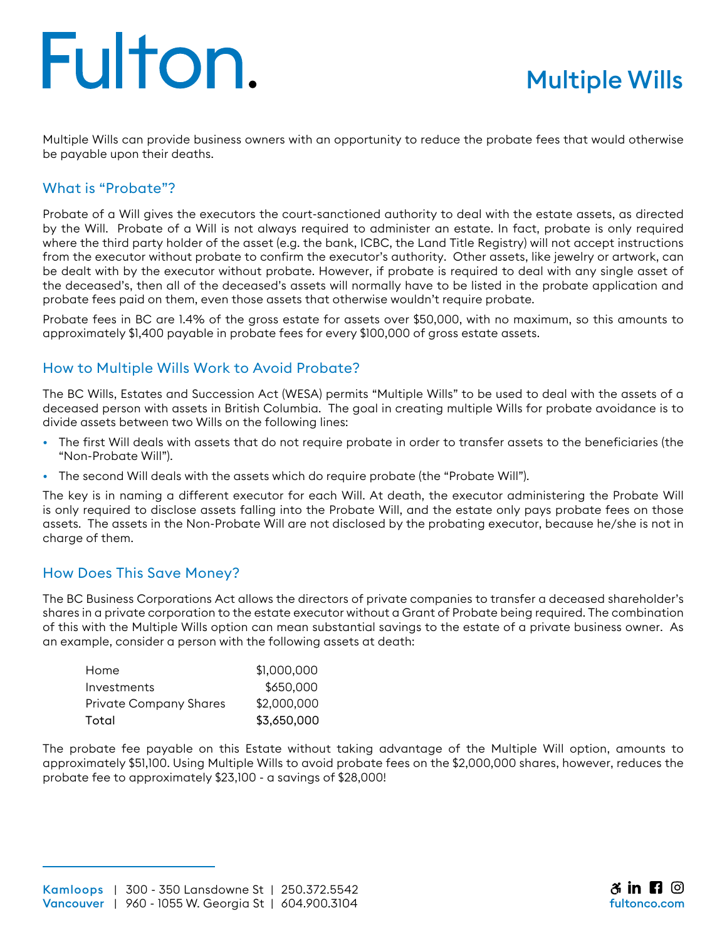# Fulton.

Multiple Wills can provide business owners with an opportunity to reduce the probate fees that would otherwise be payable upon their deaths.

### What is "Probate"?

Probate of a Will gives the executors the court-sanctioned authority to deal with the estate assets, as directed by the Will. Probate of a Will is not always required to administer an estate. In fact, probate is only required where the third party holder of the asset (e.g. the bank, ICBC, the Land Title Registry) will not accept instructions from the executor without probate to confirm the executor's authority. Other assets, like jewelry or artwork, can be dealt with by the executor without probate. However, if probate is required to deal with any single asset of the deceased's, then all of the deceased's assets will normally have to be listed in the probate application and probate fees paid on them, even those assets that otherwise wouldn't require probate.

Probate fees in BC are 1.4% of the gross estate for assets over \$50,000, with no maximum, so this amounts to approximately \$1,400 payable in probate fees for every \$100,000 of gross estate assets.

#### How to Multiple Wills Work to Avoid Probate?

The BC Wills, Estates and Succession Act (WESA) permits "Multiple Wills" to be used to deal with the assets of a deceased person with assets in British Columbia. The goal in creating multiple Wills for probate avoidance is to divide assets between two Wills on the following lines:

- The first Will deals with assets that do not require probate in order to transfer assets to the beneficiaries (the "Non-Probate Will").
- The second Will deals with the assets which do require probate (the "Probate Will").

The key is in naming a different executor for each Will. At death, the executor administering the Probate Will is only required to disclose assets falling into the Probate Will, and the estate only pays probate fees on those assets. The assets in the Non-Probate Will are not disclosed by the probating executor, because he/she is not in charge of them.

#### How Does This Save Money?

The BC Business Corporations Act allows the directors of private companies to transfer a deceased shareholder's shares in a private corporation to the estate executor without a Grant of Probate being required. The combination of this with the Multiple Wills option can mean substantial savings to the estate of a private business owner. As an example, consider a person with the following assets at death:

| Home                   | \$1,000,000 |
|------------------------|-------------|
| Investments            | \$650,000   |
| Private Company Shares | \$2,000,000 |
| Total                  | \$3,650,000 |

The probate fee payable on this Estate without taking advantage of the Multiple Will option, amounts to approximately \$51,100. Using Multiple Wills to avoid probate fees on the \$2,000,000 shares, however, reduces the probate fee to approximately \$23,100 - a savings of \$28,000!